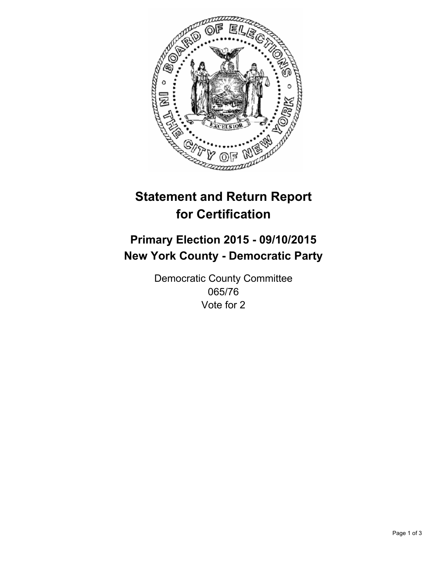

# **Statement and Return Report for Certification**

## **Primary Election 2015 - 09/10/2015 New York County - Democratic Party**

Democratic County Committee 065/76 Vote for 2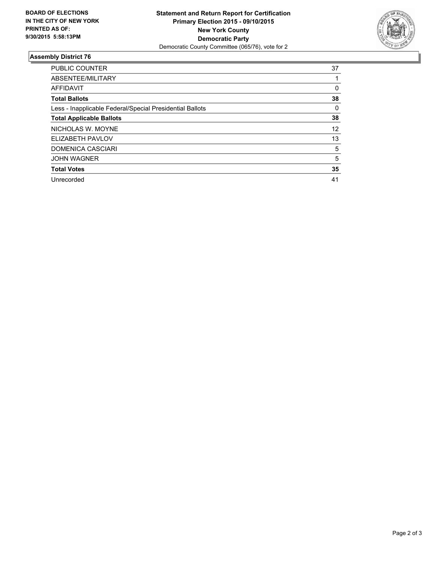

#### **Assembly District 76**

| <b>PUBLIC COUNTER</b>                                    | 37 |
|----------------------------------------------------------|----|
| ABSENTEE/MILITARY                                        |    |
| <b>AFFIDAVIT</b>                                         | 0  |
| <b>Total Ballots</b>                                     | 38 |
| Less - Inapplicable Federal/Special Presidential Ballots | 0  |
| <b>Total Applicable Ballots</b>                          | 38 |
| NICHOLAS W. MOYNE                                        | 12 |
| ELIZABETH PAVLOV                                         | 13 |
| <b>DOMENICA CASCIARI</b>                                 | 5  |
| <b>JOHN WAGNER</b>                                       | 5  |
| <b>Total Votes</b>                                       | 35 |
| Unrecorded                                               | 41 |